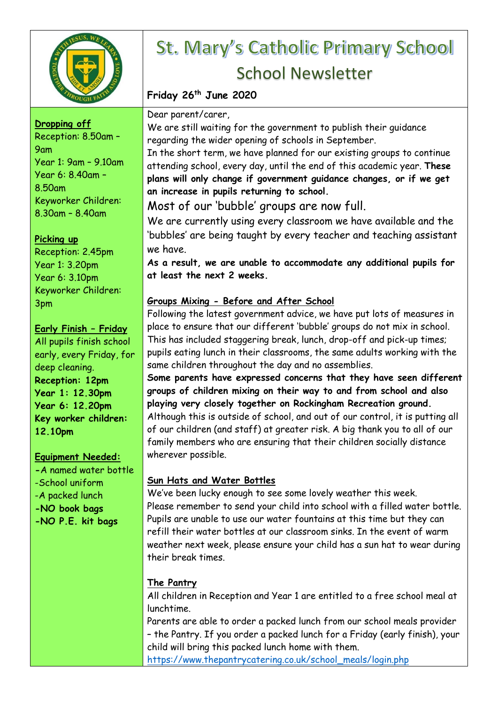

### **Dropping off**

Reception: 8.50am – 9am Year 1: 9am – 9.10am Year 6: 8.40am – 8.50am Keyworker Children: 8.30am – 8.40am

## **Picking up**

Reception: 2.45pm Year 1: 3.20pm Year 6: 3.10pm Keyworker Children: 3pm

## **Early Finish – Friday**

All pupils finish school early, every Friday, for deep cleaning. **Reception: 12pm Year 1: 12.30pm Year 6: 12.20pm Key worker children: 12.10pm**

## **Equipment Needed:**

**-**A named water bottle -School uniform -A packed lunch **-NO book bags -NO P.E. kit bags**

# St. Mary's Catholic Primary School School Newsletter

## **Friday 26th June 2020**

Dear parent/carer,

We are still waiting for the government to publish their guidance regarding the wider opening of schools in September.

In the short term, we have planned for our existing groups to continue attending school, every day, until the end of this academic year. **These plans will only change if government guidance changes, or if we get an increase in pupils returning to school.**

Most of our 'bubble' groups are now full.

We are currently using every classroom we have available and the 'bubbles' are being taught by every teacher and teaching assistant we have.

**As a result, we are unable to accommodate any additional pupils for at least the next 2 weeks.**

## **Groups Mixing - Before and After School**

Following the latest government advice, we have put lots of measures in place to ensure that our different 'bubble' groups do not mix in school. This has included staggering break, lunch, drop-off and pick-up times; pupils eating lunch in their classrooms, the same adults working with the same children throughout the day and no assemblies.

**Some parents have expressed concerns that they have seen different groups of children mixing on their way to and from school and also playing very closely together on Rockingham Recreation ground.** Although this is outside of school, and out of our control, it is putting all of our children (and staff) at greater risk. A big thank you to all of our family members who are ensuring that their children socially distance wherever possible.

## **Sun Hats and Water Bottles**

We've been lucky enough to see some lovely weather this week. Please remember to send your child into school with a filled water bottle. Pupils are unable to use our water fountains at this time but they can refill their water bottles at our classroom sinks. In the event of warm weather next week, please ensure your child has a sun hat to wear during their break times.

## **The Pantry**

All children in Reception and Year 1 are entitled to a free school meal at lunchtime.

Parents are able to order a packed lunch from our school meals provider – the Pantry. If you order a packed lunch for a Friday (early finish), your child will bring this packed lunch home with them.

[https://www.thepantrycatering.co.uk/school\\_meals/login.php](https://www.thepantrycatering.co.uk/school_meals/login.php)